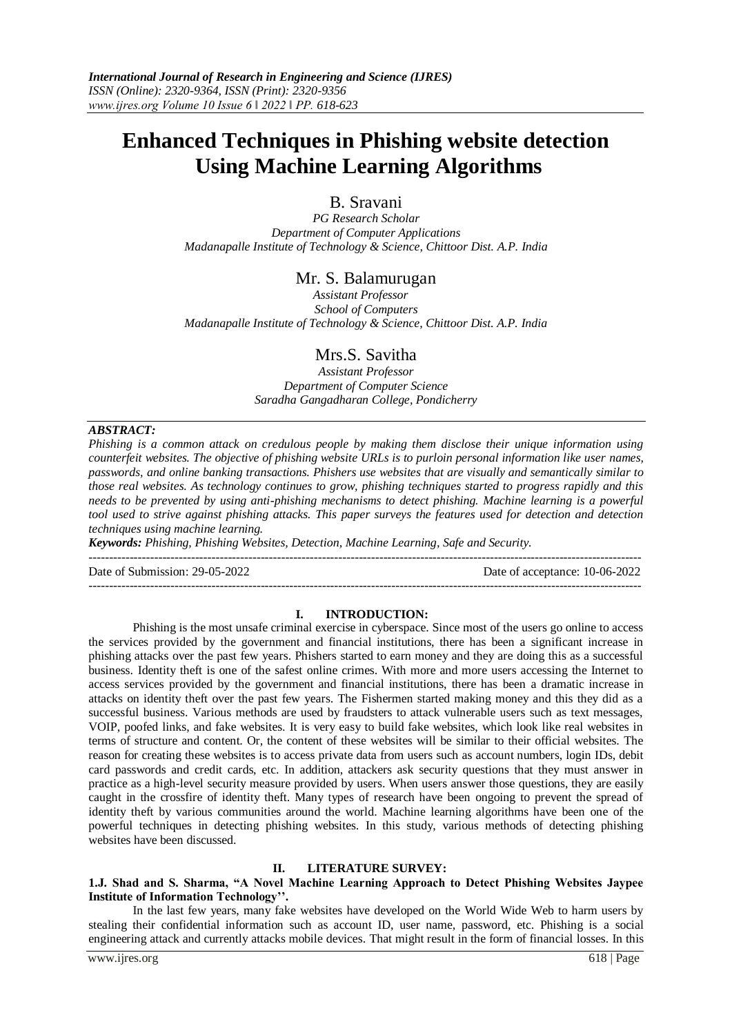# **Enhanced Techniques in Phishing website detection Using Machine Learning Algorithms**

B. Sravani

*PG Research Scholar Department of Computer Applications Madanapalle Institute of Technology & Science, Chittoor Dist. A.P. India*

# Mr. S. Balamurugan

 *Assistant Professor School of Computers Madanapalle Institute of Technology & Science, Chittoor Dist. A.P. India*

# Mrs.S. Savitha

*Assistant Professor Department of Computer Science Saradha Gangadharan College, Pondicherry*

## *ABSTRACT:*

*Phishing is a common attack on credulous people by making them disclose their unique information using counterfeit websites. The objective of phishing website URLs is to purloin personal information like user names, passwords, and online banking transactions. Phishers use websites that are visually and semantically similar to those real websites. As technology continues to grow, phishing techniques started to progress rapidly and this needs to be prevented by using anti-phishing mechanisms to detect phishing. Machine learning is a powerful tool used to strive against phishing attacks. This paper surveys the features used for detection and detection techniques using machine learning.*

*Keywords: Phishing, Phishing Websites, Detection, Machine Learning, Safe and Security.*

---------------------------------------------------------------------------------------------------------------------------------------

Date of Submission: 29-05-2022 Date of acceptance: 10-06-2022

#### **I. INTRODUCTION:**

Phishing is the most unsafe criminal exercise in cyberspace. Since most of the users go online to access the services provided by the government and financial institutions, there has been a significant increase in phishing attacks over the past few years. Phishers started to earn money and they are doing this as a successful business. Identity theft is one of the safest online crimes. With more and more users accessing the Internet to access services provided by the government and financial institutions, there has been a dramatic increase in attacks on identity theft over the past few years. The Fishermen started making money and this they did as a successful business. Various methods are used by fraudsters to attack vulnerable users such as text messages, VOIP, poofed links, and fake websites. It is very easy to build fake websites, which look like real websites in terms of structure and content. Or, the content of these websites will be similar to their official websites. The reason for creating these websites is to access private data from users such as account numbers, login IDs, debit card passwords and credit cards, etc. In addition, attackers ask security questions that they must answer in practice as a high-level security measure provided by users. When users answer those questions, they are easily caught in the crossfire of identity theft. Many types of research have been ongoing to prevent the spread of identity theft by various communities around the world. Machine learning algorithms have been one of the powerful techniques in detecting phishing websites. In this study, various methods of detecting phishing websites have been discussed.

## **II. LITERATURE SURVEY:**

## **1.J. Shad and S. Sharma, "A Novel Machine Learning Approach to Detect Phishing Websites Jaypee Institute of Information Technology''.**

In the last few years, many fake websites have developed on the World Wide Web to harm users by stealing their confidential information such as account ID, user name, password, etc. Phishing is a social engineering attack and currently attacks mobile devices. That might result in the form of financial losses. In this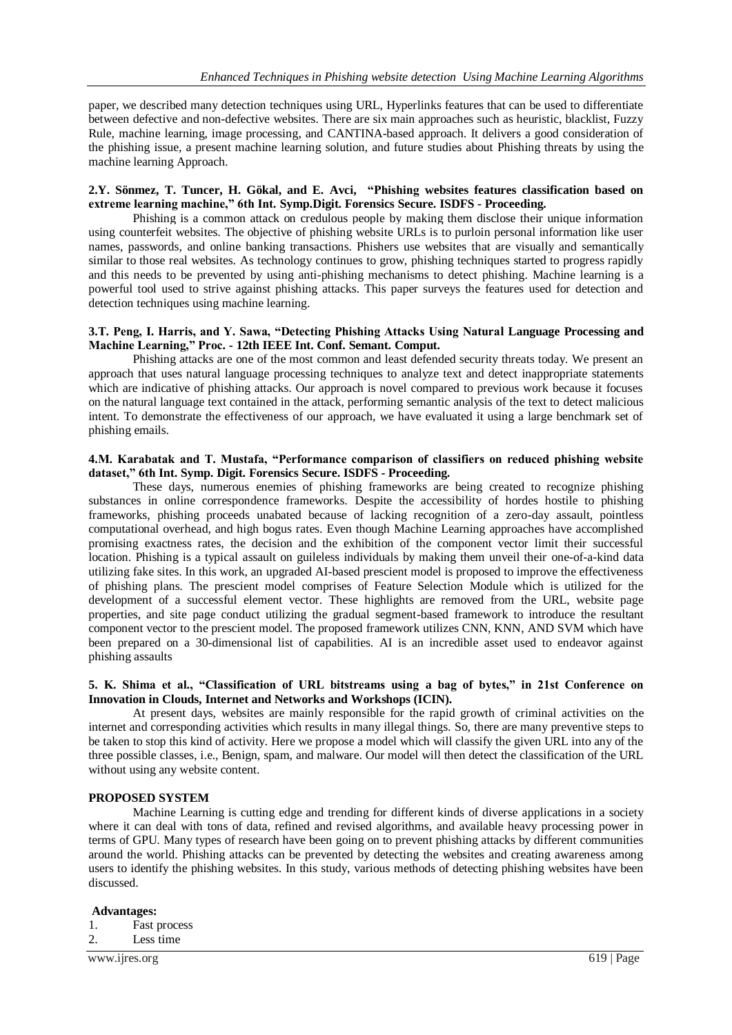paper, we described many detection techniques using URL, Hyperlinks features that can be used to differentiate between defective and non-defective websites. There are six main approaches such as heuristic, blacklist, Fuzzy Rule, machine learning, image processing, and CANTINA-based approach. It delivers a good consideration of the phishing issue, a present machine learning solution, and future studies about Phishing threats by using the machine learning Approach.

## **2.Y. Sönmez, T. Tuncer, H. Gökal, and E. Avci, "Phishing websites features classification based on extreme learning machine," 6th Int. Symp.Digit. Forensics Secure. ISDFS - Proceeding.**

Phishing is a common attack on credulous people by making them disclose their unique information using counterfeit websites. The objective of phishing website URLs is to purloin personal information like user names, passwords, and online banking transactions. Phishers use websites that are visually and semantically similar to those real websites. As technology continues to grow, phishing techniques started to progress rapidly and this needs to be prevented by using anti-phishing mechanisms to detect phishing. Machine learning is a powerful tool used to strive against phishing attacks. This paper surveys the features used for detection and detection techniques using machine learning.

## **3.T. Peng, I. Harris, and Y. Sawa, "Detecting Phishing Attacks Using Natural Language Processing and Machine Learning," Proc. - 12th IEEE Int. Conf. Semant. Comput.**

Phishing attacks are one of the most common and least defended security threats today. We present an approach that uses natural language processing techniques to analyze text and detect inappropriate statements which are indicative of phishing attacks. Our approach is novel compared to previous work because it focuses on the natural language text contained in the attack, performing semantic analysis of the text to detect malicious intent. To demonstrate the effectiveness of our approach, we have evaluated it using a large benchmark set of phishing emails.

## **4.M. Karabatak and T. Mustafa, "Performance comparison of classifiers on reduced phishing website dataset," 6th Int. Symp. Digit. Forensics Secure. ISDFS - Proceeding.**

These days, numerous enemies of phishing frameworks are being created to recognize phishing substances in online correspondence frameworks. Despite the accessibility of hordes hostile to phishing frameworks, phishing proceeds unabated because of lacking recognition of a zero-day assault, pointless computational overhead, and high bogus rates. Even though Machine Learning approaches have accomplished promising exactness rates, the decision and the exhibition of the component vector limit their successful location. Phishing is a typical assault on guileless individuals by making them unveil their one-of-a-kind data utilizing fake sites. In this work, an upgraded AI-based prescient model is proposed to improve the effectiveness of phishing plans. The prescient model comprises of Feature Selection Module which is utilized for the development of a successful element vector. These highlights are removed from the URL, website page properties, and site page conduct utilizing the gradual segment-based framework to introduce the resultant component vector to the prescient model. The proposed framework utilizes CNN, KNN, AND SVM which have been prepared on a 30-dimensional list of capabilities. AI is an incredible asset used to endeavor against phishing assaults

## **5. K. Shima et al., "Classification of URL bitstreams using a bag of bytes," in 21st Conference on Innovation in Clouds, Internet and Networks and Workshops (ICIN).**

At present days, websites are mainly responsible for the rapid growth of criminal activities on the internet and corresponding activities which results in many illegal things. So, there are many preventive steps to be taken to stop this kind of activity. Here we propose a model which will classify the given URL into any of the three possible classes, i.e., Benign, spam, and malware. Our model will then detect the classification of the URL without using any website content.

## **PROPOSED SYSTEM**

Machine Learning is cutting edge and trending for different kinds of diverse applications in a society where it can deal with tons of data, refined and revised algorithms, and available heavy processing power in terms of GPU. Many types of research have been going on to prevent phishing attacks by different communities around the world. Phishing attacks can be prevented by detecting the websites and creating awareness among users to identify the phishing websites. In this study, various methods of detecting phishing websites have been discussed.

## **Advantages:**

- 1. Fast process
- 2. Less time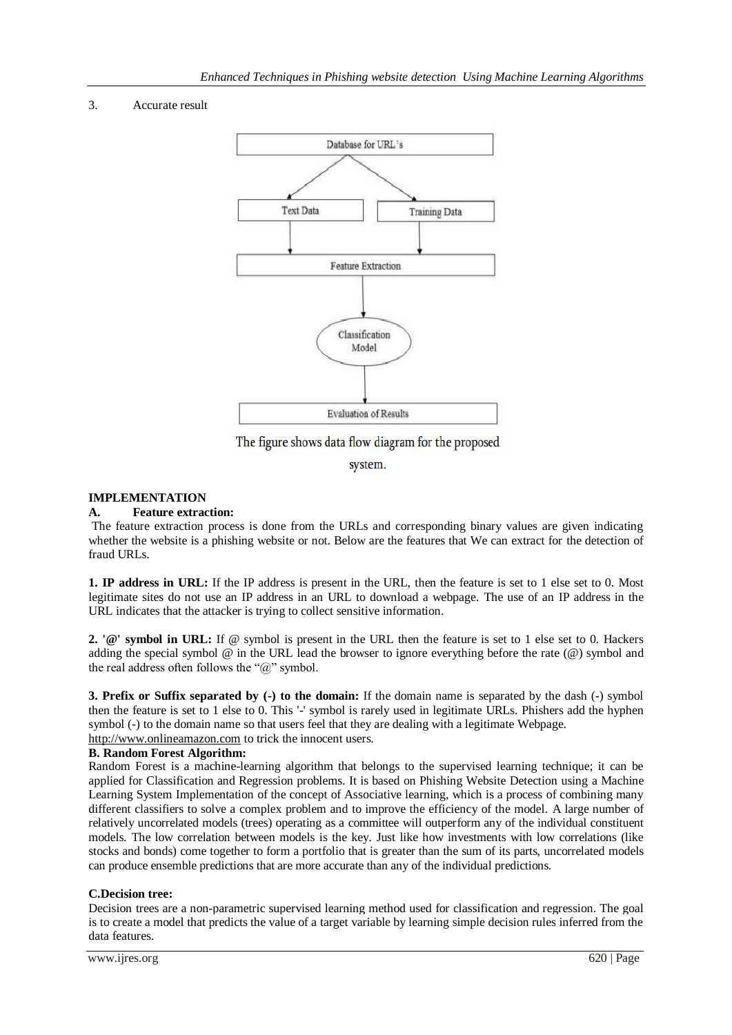## 3. Accurate result



The figure shows data flow diagram for the proposed

system.

## **IMPLEMENTATION**

## **A. Feature extraction:**

The feature extraction process is done from the URLs and corresponding binary values are given indicating whether the website is a phishing website or not. Below are the features that We can extract for the detection of fraud URLs.

**1. IP address in URL:** If the IP address is present in the URL, then the feature is set to 1 else set to 0. Most legitimate sites do not use an IP address in an URL to download a webpage. The use of an IP address in the URL indicates that the attacker is trying to collect sensitive information.

**2. '@' symbol in URL:** If @ symbol is present in the URL then the feature is set to 1 else set to 0. Hackers adding the special symbol  $@$  in the URL lead the browser to ignore everything before the rate  $@)$  symbol and the real address often follows the " $\hat{a}$ " symbol.

**3. Prefix or Suffix separated by (-) to the domain:** If the domain name is separated by the dash (-) symbol then the feature is set to 1 else to 0. This '-' symbol is rarely used in legitimate URLs. Phishers add the hyphen symbol (-) to the domain name so that users feel that they are dealing with a legitimate Webpage. [http://www.onlineamazon.com](http://www.onlineamazon.com/) to trick the innocent users.

## **B. Random Forest Algorithm:**

Random Forest is a machine-learning algorithm that belongs to the supervised learning technique; it can be applied for Classification and Regression problems. It is based on Phishing Website Detection using a Machine Learning System Implementation of the concept of Associative learning, which is a process of combining many different classifiers to solve a complex problem and to improve the efficiency of the model. A large number of relatively uncorrelated models (trees) operating as a committee will outperform any of the individual constituent models. The low correlation between models is the key. Just like how investments with low correlations (like stocks and bonds) come together to form a portfolio that is greater than the sum of its parts, uncorrelated models can produce ensemble predictions that are more accurate than any of the individual predictions.

## **C.Decision tree:**

Decision trees are a non-parametric supervised learning method used for classification and regression. The goal is to create a model that predicts the value of a target variable by learning simple decision rules inferred from the data features.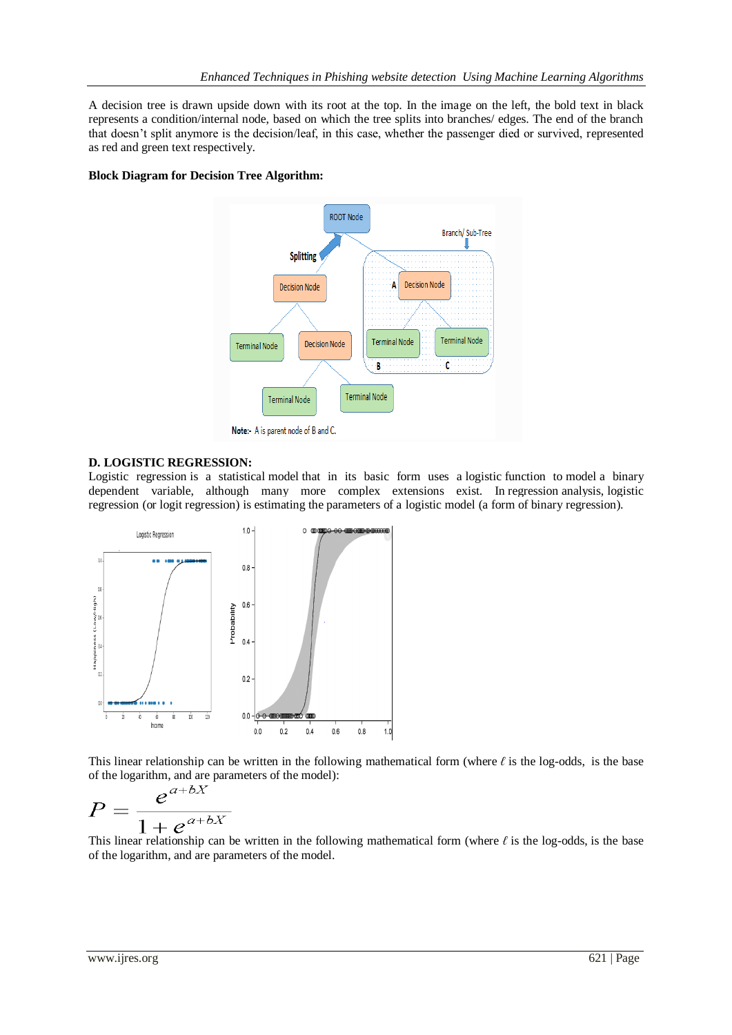A decision tree is drawn upside down with its root at the top. In the image on the left, the bold text in black represents a condition/internal node, based on which the tree splits into branches/ edges. The end of the branch that doesn't split anymore is the decision/leaf, in this case, whether the passenger died or survived, represented as red and green text respectively.

## **Block Diagram for Decision Tree Algorithm:**



## **D. LOGISTIC REGRESSION:**

Logistic regression is a statistical model that in its basic form uses a logistic function to model a binary dependent variable, although many more complex extensions exist. In regression analysis, logistic regression (or logit regression) is estimating the parameters of a logistic model (a form of binary regression).



This linear relationship can be written in the following mathematical form (where *ℓ* is the log-odds, is the base of the logarithm, and are parameters of the model):

$$
P = \frac{e^{a+bX}}{1+e^{a+bX}}
$$

This linear relationship can be written in the following mathematical form (where *ℓ* is the log-odds, is the base of the logarithm, and are parameters of the model.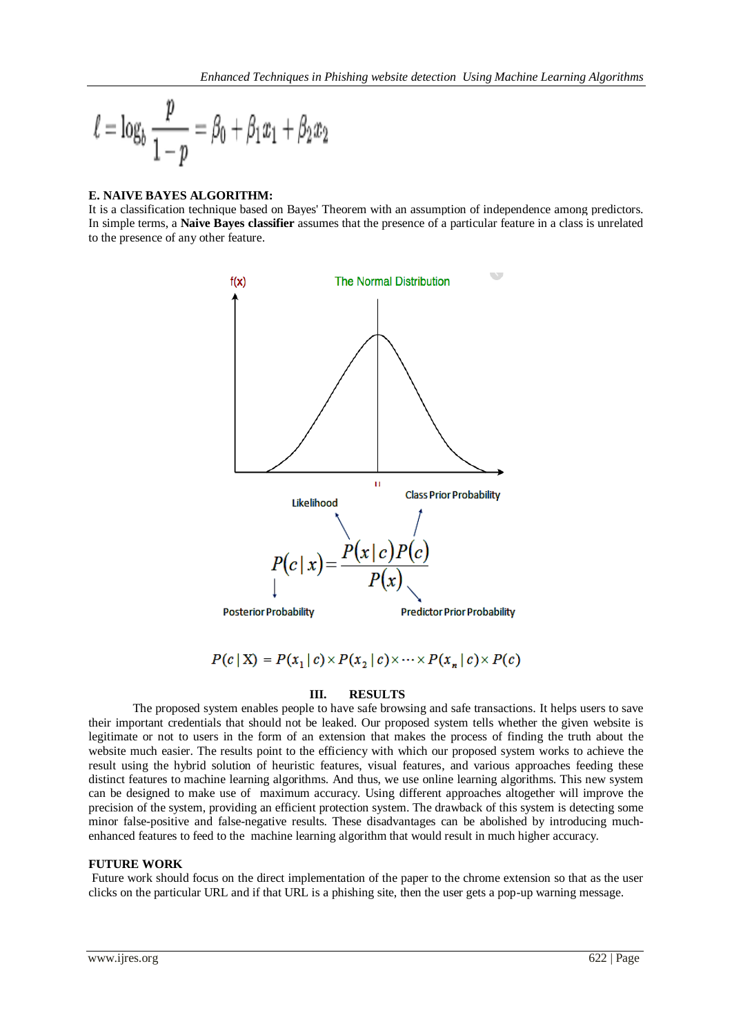$$
\ell = \log_b \frac{p}{1-p} = \beta_0 + \beta_1 x_1 + \beta_2 x_2
$$

## **E. NAIVE BAYES ALGORITHM:**

It is a classification technique based on Bayes' Theorem with an assumption of independence among predictors. In simple terms, a **Naive Bayes classifier** assumes that the presence of a particular feature in a class is unrelated to the presence of any other feature.



 $P(c | X) = P(x_1 | c) \times P(x_2 | c) \times \cdots \times P(x_n | c) \times P(c)$ 

## **III. RESULTS**

The proposed system enables people to have safe browsing and safe transactions. It helps users to save their important credentials that should not be leaked. Our proposed system tells whether the given website is legitimate or not to users in the form of an extension that makes the process of finding the truth about the website much easier. The results point to the efficiency with which our proposed system works to achieve the result using the hybrid solution of heuristic features, visual features, and various approaches feeding these distinct features to machine learning algorithms. And thus, we use online learning algorithms. This new system can be designed to make use of maximum accuracy. Using different approaches altogether will improve the precision of the system, providing an efficient protection system. The drawback of this system is detecting some minor false-positive and false-negative results. These disadvantages can be abolished by introducing muchenhanced features to feed to the machine learning algorithm that would result in much higher accuracy.

## **FUTURE WORK**

Future work should focus on the direct implementation of the paper to the chrome extension so that as the user clicks on the particular URL and if that URL is a phishing site, then the user gets a pop-up warning message.